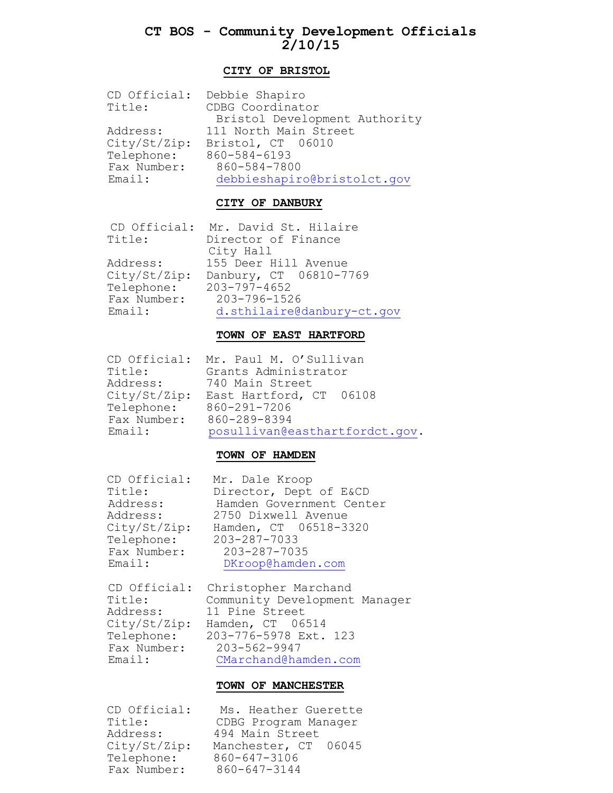# **CT BOS - Community Development Officials 2/10/15**

### **CITY OF BRISTOL**

|              | CD Official: Debbie Shapiro   |
|--------------|-------------------------------|
| Title:       | CDBG Coordinator              |
|              | Bristol Development Authority |
| Address:     | 111 North Main Street         |
| City/St/Zip: | Bristol, CT 06010             |
| Telephone:   | 860-584-6193                  |
| Fax Number:  | 860-584-7800                  |
| Email:       | debbieshapiro@bristolct.gov   |

### **CITY OF DANBURY**

CD Official: Mr. David St. Hilaire Title: Director of Finance

 City Hall Address: 155 Deer Hill Avenue City/St/Zip: Danbury, CT 06810-7769 Telephone: 203-797-4652 Fax Number: 203-796-1526 Email: [d.sthilaire@danbury-ct.gov](mailto:d.sthilaire@danbury-ct.gov)

### **TOWN OF EAST HARTFORD**

CD Official: Mr. Paul M. O'Sullivan

 Title: Grants Administrator Address: 740 Main Street City/St/Zip: East Hartford, CT 06108 Telephone: 860-291-7206 Fax Number: 860-289-8394 Email: [posullivan@easthartfordct.gov.](mailto:posullivan@easthartfordct.gov)

### **TOWN OF HAMDEN**

CD Official: Mr. Dale Kroop

Title: Director, Dept of E&CD Address: Hamden Government Center Address: 2750 Dixwell Avenue City/St/Zip: Hamden, CT 06518-3320 Telephone: 203-287-7033 Fax Number: 203-287-7035 Email: [DKroop@hamden.com](mailto:DKroop@hamden.com)

CD Official: Christopher Marchand<br>Title: Community Development<br>Address: 11 Pine Street Community Development Manager 11 Pine Street City/St/Zip: Hamden, CT 06514 Telephone: 203-776-5978 Ext. 123 Fax Number: 203-562-9947 Email: [CMarchand@hamden.com](mailto:CMarchand@hamden.com)

#### **TOWN OF MANCHESTER**

 Telephone: 860-647-3106 Fax Number: 860-647-3144

 CD Official: Ms. Heather Guerette Title: CDBG Program Manager Address: 494 Main Street City/St/Zip: Manchester, CT 06045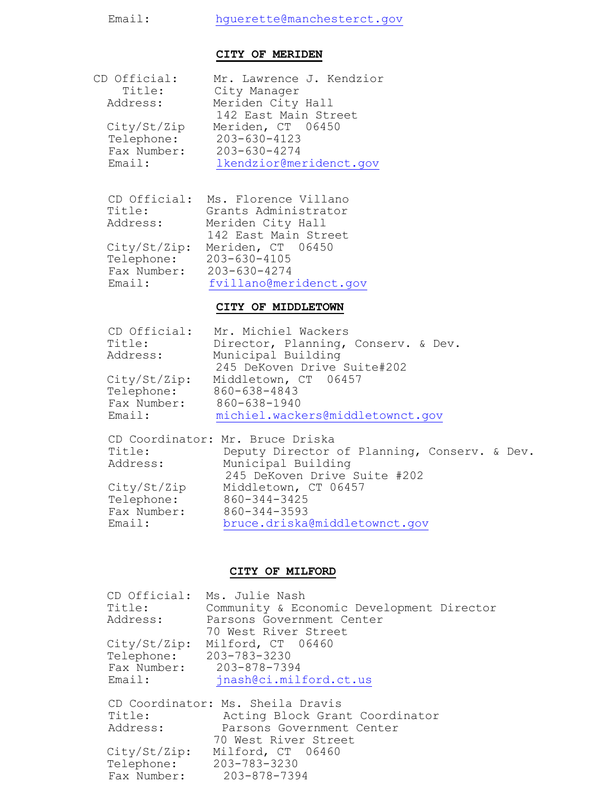# Email: [hguerette@manchesterct.gov](mailto:hguerette@manchesterct.gov)

### **CITY OF MERIDEN**

| CD Official: | Mr. Lawrence J. Kendzior |
|--------------|--------------------------|
| Title:       | City Manager             |
| Address:     | Meriden City Hall        |
|              | 142 East Main Street     |
| City/St/Zip  | Meriden, CT 06450        |
| Telephone:   | 203-630-4123             |
| Fax Number:  | 203-630-4274             |
| Email:       | lkendzior@meridenct.gov  |

CD Official: Ms. Florence Villano

 Title: Grants Administrator Address: Meriden City Hall 142 East Main Street City/St/Zip: Meriden, CT 06450 Telephone: 203-630-4105 Fax Number: 203-630-4274 Email: [fvillano@meridenct.gov](mailto:fvillano@meridenct.gov)

### **CITY OF MIDDLETOWN**

|              | CD Official: Mr. Michiel Wackers             |
|--------------|----------------------------------------------|
| Title:       | Director, Planning, Conserv. & Dev.          |
| Address:     | Municipal Building                           |
|              | 245 DeKoven Drive Suite#202                  |
| City/St/Zip: | Middletown, CT 06457                         |
| Telephone:   | 860-638-4843                                 |
| Fax Number:  | 860-638-1940                                 |
| Email:       | michiel.wackers@middletownct.qov             |
|              |                                              |
|              | CD Coordinator: Mr. Bruce Driska             |
| Title:       | Deputy Director of Planning, Conserv. & Dev. |
| Address:     | Municipal Building                           |
|              | 245 DeKoven Drive Suite #202                 |
| City/St/Zip  | Middletown, CT 06457                         |
| Telephone:   | 860-344-3425                                 |
| Fax Number:  | 860-344-3593                                 |
| Email:       | bruce.driska@middletownct.qov                |

## **CITY OF MILFORD**

| Title:                  | CD Official: Ms. Julie Nash<br>Community & Economic Development Director |
|-------------------------|--------------------------------------------------------------------------|
| Address:                | Parsons Government Center                                                |
|                         | 70 West River Street                                                     |
| City/St/Zip:            | Milford, CT 06460                                                        |
| Telephone: 203-783-3230 |                                                                          |
|                         | Fax Number: 203-878-7394                                                 |
| Email:                  | jnash@ci.milford.ct.us                                                   |
|                         | CD Coordinator: Ms. Sheila Dravis                                        |
| Title:                  | Acting Block Grant Coordinator                                           |
| Address:                | Parsons Government Center                                                |
|                         | 70 West River Street                                                     |
| City/St/Zip:            | Milford, CT 06460                                                        |
|                         | Telephone: 203-783-3230                                                  |
| Fax Number:             | 203-878-7394                                                             |
|                         |                                                                          |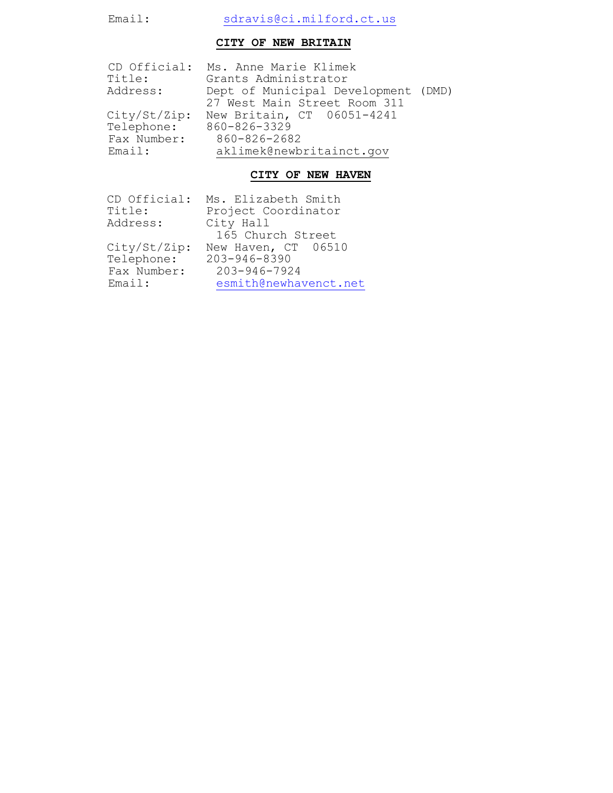# Email: [sdravis@ci.milford.ct.us](mailto:sdravis@ci.milford.ct.us)

## **CITY OF NEW BRITAIN**

|              | CD Official: Ms. Anne Marie Klimek  |
|--------------|-------------------------------------|
| Title:       | Grants Administrator                |
| Address:     | Dept of Municipal Development (DMD) |
|              | 27 West Main Street Room 311        |
| City/St/Zip: | New Britain, CT 06051-4241          |
| Telephone:   | 860-826-3329                        |
| Fax Number:  | 860-826-2682                        |
| Email:       | aklimek@newbritainct.gov            |
|              |                                     |

# **CITY OF NEW HAVEN**

| CD Official: | Ms. Elizabeth Smith   |
|--------------|-----------------------|
| Title:       | Project Coordinator   |
| Address:     | City Hall             |
|              | 165 Church Street     |
| City/St/Zip: | New Haven, CT 06510   |
| Telephone:   | 203-946-8390          |
| Fax Number:  | $203 - 946 - 7924$    |
| Email:       | esmith@newhavenct.net |
|              |                       |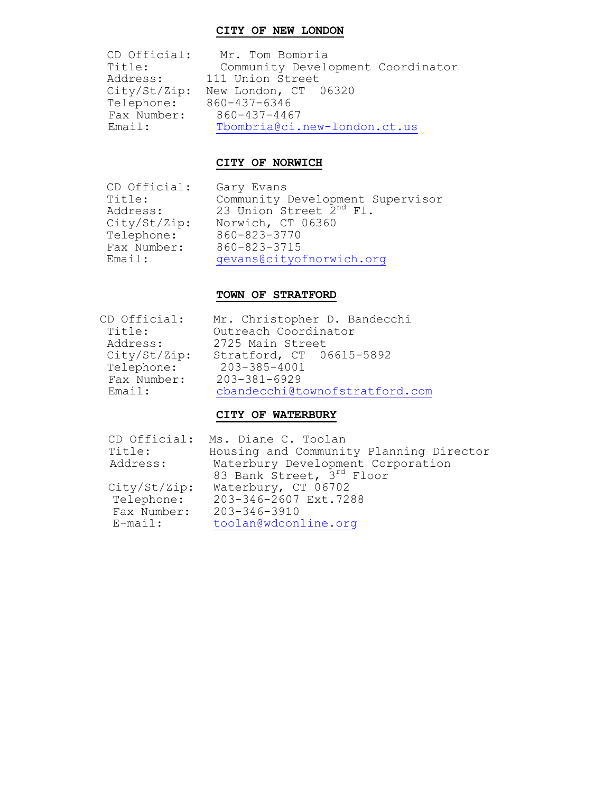### **CITY OF NEW LONDON**

 CD Official: Mr. Tom Bombria Title: Community Development Coordinator Address: 111 Union Street City/St/Zip: New London, CT 06320 Telephone: 860-437-6346 Fax Number: 860-437-4467 Fax Number: 860-437-4467<br>Email: Thombria@ci.new-london.ct.us

## **CITY OF NORWICH**

CD Official: Gary Evans Telephone: 860-823-3770 Fax Number: 860-823-3715

Title: Community Development Supervisor Address: 23 Union Street 2<sup>nd</sup> Fl. City/St/Zip: Norwich, CT 06360 Email: [gevans@cityofnorwich.org](mailto:gevans@cityofnorwich.org)

### **TOWN OF STRATFORD**

| CD Official: | Mr. Christopher D. Bandecchi   |
|--------------|--------------------------------|
| Title:       | Outreach Coordinator           |
| Address:     | 2725 Main Street               |
| City/St/Zip: | Stratford, CT 06615-5892       |
| Telephone:   | 203-385-4001                   |
| Fax Number:  | $203 - 381 - 6929$             |
| Email:       | cbandecchi@townofstratford.com |

### **CITY OF WATERBURY**

| CD Official: | Ms. Diane C. Toolan                     |
|--------------|-----------------------------------------|
| Title:       | Housing and Community Planning Director |
| Address:     | Waterbury Development Corporation       |
|              | 83 Bank Street, 3rd Floor               |
| City/St/Zip: | Waterbury, CT 06702                     |
| Telephone:   | 203-346-2607 Ext.7288                   |
| Fax Number:  | 203-346-3910                            |
| $E$ -mail:   | toolan@wdconline.org                    |
|              |                                         |